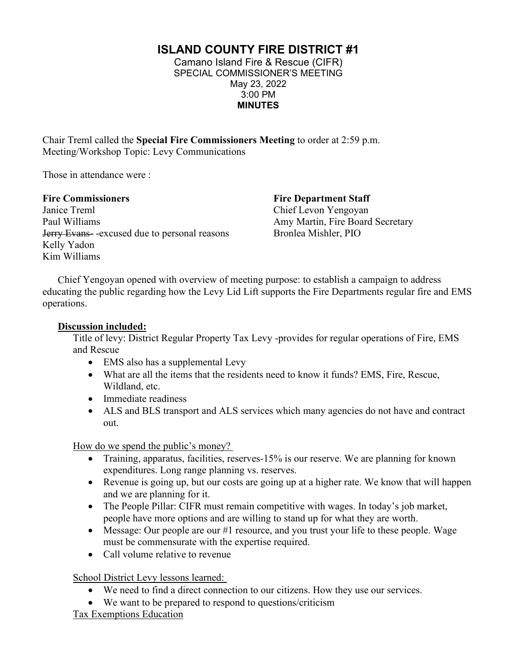**ISLAND COUNTY FIRE DISTRICT #1**

Camano Island Fire & Rescue (CIFR) SPECIAL COMMISSIONER'S MEETING May 23, 2022 3:00 PM **MINUTES** 

Chair Treml called the **Special Fire Commissioners Meeting** to order at 2:59 p.m. Meeting/Workshop Topic: Levy Communications

Those in attendance were :

## **Fire Commissioners**

Janice Treml Paul Williams Jerry Evans- -excused due to personal reasons Kelly Yadon Kim Williams

**Fire Department Staff** Chief Levon Yengoyan Amy Martin, Fire Board Secretary Bronlea Mishler, PIO

Chief Yengoyan opened with overview of meeting purpose: to establish a campaign to address educating the public regarding how the Levy Lid Lift supports the Fire Departments regular fire and EMS operations.

## **Discussion included:**

Title of levy: District Regular Property Tax Levy -provides for regular operations of Fire, EMS and Rescue

- EMS also has a supplemental Levy
- What are all the items that the residents need to know it funds? EMS, Fire, Rescue, Wildland, etc.
- Immediate readiness
- ALS and BLS transport and ALS services which many agencies do not have and contract out.

How do we spend the public's money?

- Training, apparatus, facilities, reserves-15% is our reserve. We are planning for known expenditures. Long range planning vs. reserves.
- Revenue is going up, but our costs are going up at a higher rate. We know that will happen and we are planning for it.
- The People Pillar: CIFR must remain competitive with wages. In today's job market, people have more options and are willing to stand up for what they are worth.
- Message: Our people are our #1 resource, and you trust your life to these people. Wage must be commensurate with the expertise required.
- Call volume relative to revenue

School District Levy lessons learned:

- We need to find a direct connection to our citizens. How they use our services.
- We want to be prepared to respond to questions/criticism
- Tax Exemptions Education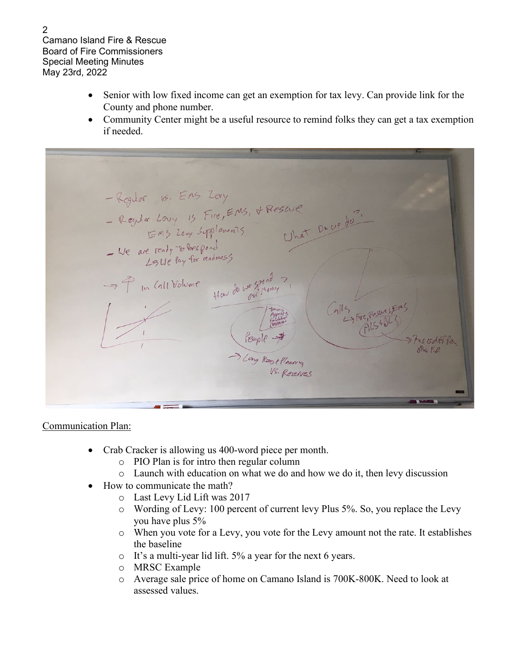Camano Island Fire & Rescue Board of Fire Commissioners Special Meeting Minutes May 23rd, 2022

- Senior with low fixed income can get an exemption for tax levy. Can provide link for the County and phone number.
- Community Center might be a useful resource to remind folks they can get a tax exemption if needed.

- Regular vs. Ens Zery<br>- Regular Loury 13 Fire, EMS, & Rescue<br>- Regular Loury 13 Fire, EMS, & Rescue<br>- We are ready to hespond<br>25 Ue lay for readmess Hav do we going? - P In Call Volume Calls Fire, Reserves People > > Long Rangellanning Vs. Reserves

## Communication Plan:

- Crab Cracker is allowing us 400-word piece per month.
	- o PIO Plan is for intro then regular column
	- o Launch with education on what we do and how we do it, then levy discussion
- How to communicate the math?
	- o Last Levy Lid Lift was 2017
	- o Wording of Levy: 100 percent of current levy Plus 5%. So, you replace the Levy you have plus 5%
	- o When you vote for a Levy, you vote for the Levy amount not the rate. It establishes the baseline
	- o It's a multi-year lid lift. 5% a year for the next 6 years.
	- o MRSC Example
	- o Average sale price of home on Camano Island is 700K-800K. Need to look at assessed values.

2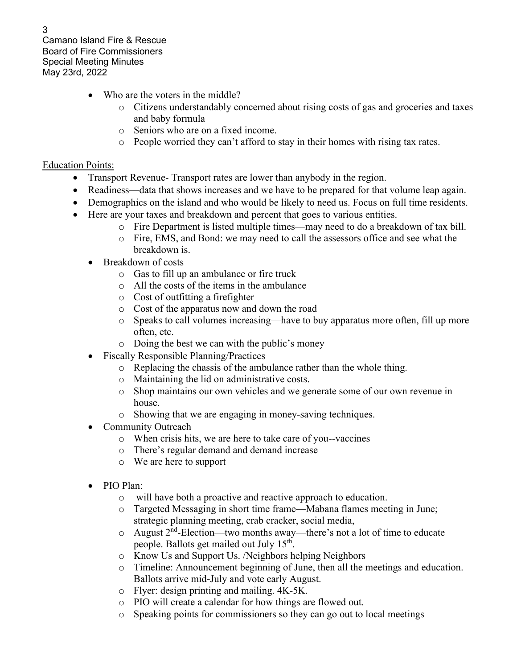Camano Island Fire & Rescue Board of Fire Commissioners Special Meeting Minutes May 23rd, 2022

- Who are the voters in the middle?
	- o Citizens understandably concerned about rising costs of gas and groceries and taxes and baby formula
	- o Seniors who are on a fixed income.
	- o People worried they can't afford to stay in their homes with rising tax rates.

## **Education Points:**

- Transport Revenue-Transport rates are lower than anybody in the region.
- Readiness—data that shows increases and we have to be prepared for that volume leap again.
- Demographics on the island and who would be likely to need us. Focus on full time residents.
- Here are your taxes and breakdown and percent that goes to various entities.
	- o Fire Department is listed multiple times—may need to do a breakdown of tax bill.
	- o Fire, EMS, and Bond: we may need to call the assessors office and see what the breakdown is.
	- Breakdown of costs
		- o Gas to fill up an ambulance or fire truck
		- o All the costs of the items in the ambulance
		- o Cost of outfitting a firefighter
		- o Cost of the apparatus now and down the road
		- o Speaks to call volumes increasing—have to buy apparatus more often, fill up more often, etc.
		- o Doing the best we can with the public's money
	- Fiscally Responsible Planning/Practices
		- o Replacing the chassis of the ambulance rather than the whole thing.
		- o Maintaining the lid on administrative costs.
		- o Shop maintains our own vehicles and we generate some of our own revenue in house.
		- o Showing that we are engaging in money-saving techniques.
	- Community Outreach
		- o When crisis hits, we are here to take care of you--vaccines
		- o There's regular demand and demand increase
		- o We are here to support
	- PIO Plan:
		- o will have both a proactive and reactive approach to education.
		- o Targeted Messaging in short time frame—Mabana flames meeting in June; strategic planning meeting, crab cracker, social media,
		- o August 2nd-Election—two months away—there's not a lot of time to educate people. Ballots get mailed out July  $15<sup>th</sup>$ .
		- o Know Us and Support Us. /Neighbors helping Neighbors
		- o Timeline: Announcement beginning of June, then all the meetings and education. Ballots arrive mid-July and vote early August.
		- o Flyer: design printing and mailing. 4K-5K.
		- o PIO will create a calendar for how things are flowed out.
		- o Speaking points for commissioners so they can go out to local meetings

3